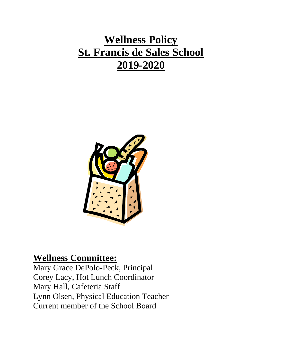# **Wellness Policy St. Francis de Sales School 2019-2020**



# **Wellness Committee:**

Mary Grace DePolo-Peck, Principal Corey Lacy, Hot Lunch Coordinator Mary Hall, Cafeteria Staff Lynn Olsen, Physical Education Teacher Current member of the School Board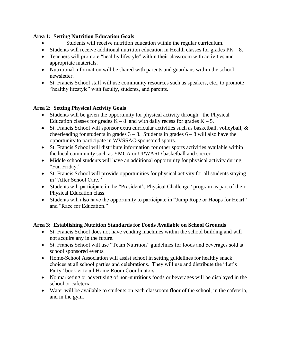### **Area 1: Setting Nutrition Education Goals**

- Students will receive nutrition education within the regular curriculum.
- Students will receive additional nutrition education in Health classes for grades  $PK 8$ .
- Teachers will promote "healthy lifestyle" within their classroom with activities and appropriate materials.
- Nutritional information will be shared with parents and guardians within the school newsletter.
- St. Francis School staff will use community resources such as speakers, etc., to promote "healthy lifestyle" with faculty, students, and parents.

## **Area 2: Setting Physical Activity Goals**

- Students will be given the opportunity for physical activity through: the Physical Education classes for grades  $K - 8$  and with daily recess for grades  $K - 5$ .
- $\bullet$  St. Francis School will sponsor extra curricular activities such as basketball, volleyball, & cheerleading for students in grades  $3 - 8$ . Students in grades  $6 - 8$  will also have the opportunity to participate in WVSSAC-sponsored sports*.*
- St. Francis School will distribute information for other sports activities available within the local community such as YMCA or UPWARD basketball and soccer.
- Middle school students will have an additional opportunity for physical activity during "Fun Friday."
- St. Francis School will provide opportunities for physical activity for all students staying in "After School Care."
- Students will participate in the "President's Physical Challenge" program as part of their Physical Education class.
- Students will also have the opportunity to participate in "Jump Rope or Hoops for Heart" and "Race for Education."

# **Area 3: Establishing Nutrition Standards for Foods Available on School Grounds**

- St. Francis School does not have vending machines within the school building and will not acquire any in the future.
- St. Francis School will use "Team Nutrition" guidelines for foods and beverages sold at school sponsored events.
- Home-School Association will assist school in setting guidelines for healthy snack choices at all school parties and celebrations. They will use and distribute the "Let's Party" booklet to all Home Room Coordinators.
- No marketing or advertising of non-nutritious foods or beverages will be displayed in the school or cafeteria.
- Water will be available to students on each classroom floor of the school, in the cafeteria, and in the gym.